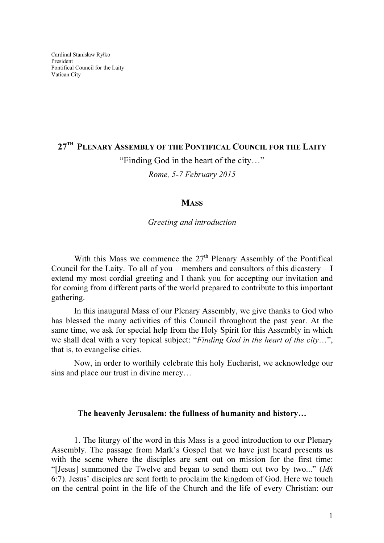## $27^{\scriptscriptstyle\rm TH}$  Plenary Assembly of the Pontifical Council for the Laity "Finding God in the heart of the city…" Rome, 5-7 February 2015

## **MASS**

Greeting and introduction

With this Mass we commence the  $27<sup>th</sup>$  Plenary Assembly of the Pontifical Council for the Laity. To all of you – members and consultors of this dicastery  $-1$ extend my most cordial greeting and I thank you for accepting our invitation and for coming from different parts of the world prepared to contribute to this important gathering.

In this inaugural Mass of our Plenary Assembly, we give thanks to God who has blessed the many activities of this Council throughout the past year. At the same time, we ask for special help from the Holy Spirit for this Assembly in which we shall deal with a very topical subject: "Finding God in the heart of the city...", that is, to evangelise cities.

Now, in order to worthily celebrate this holy Eucharist, we acknowledge our sins and place our trust in divine mercy…

## The heavenly Jerusalem: the fullness of humanity and history…

1. The liturgy of the word in this Mass is a good introduction to our Plenary Assembly. The passage from Mark's Gospel that we have just heard presents us with the scene where the disciples are sent out on mission for the first time: "[Jesus] summoned the Twelve and began to send them out two by two..." (Mk 6:7). Jesus' disciples are sent forth to proclaim the kingdom of God. Here we touch on the central point in the life of the Church and the life of every Christian: our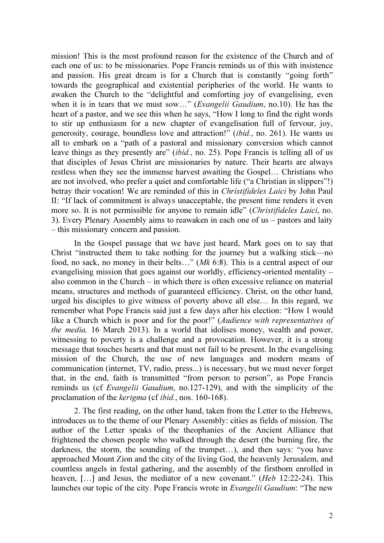mission! This is the most profound reason for the existence of the Church and of each one of us: to be missionaries. Pope Francis reminds us of this with insistence and passion. His great dream is for a Church that is constantly "going forth" towards the geographical and existential peripheries of the world. He wants to awaken the Church to the "delightful and comforting joy of evangelising, even when it is in tears that we must sow..." (*Evangelii Gaudium*, no.10). He has the heart of a pastor, and we see this when he says, "How I long to find the right words to stir up enthusiasm for a new chapter of evangelisation full of fervour, joy, generosity, courage, boundless love and attraction!" (ibid., no. 261). He wants us all to embark on a "path of a pastoral and missionary conversion which cannot leave things as they presently are" (ibid., no. 25). Pope Francis is telling all of us that disciples of Jesus Christ are missionaries by nature. Their hearts are always restless when they see the immense harvest awaiting the Gospel… Christians who are not involved, who prefer a quiet and comfortable life ("a Christian in slippers"!) betray their vocation! We are reminded of this in *Christifideles Laici* by John Paul II: "If lack of commitment is always unacceptable, the present time renders it even more so. It is not permissible for anyone to remain idle" (Christifideles Laici, no. 3). Every Plenary Assembly aims to reawaken in each one of us – pastors and laity – this missionary concern and passion.

In the Gospel passage that we have just heard, Mark goes on to say that Christ "instructed them to take nothing for the journey but a walking stick—no food, no sack, no money in their belts…" (Mk 6:8). This is a central aspect of our evangelising mission that goes against our worldly, efficiency-oriented mentality – also common in the Church – in which there is often excessive reliance on material means, structures and methods of guaranteed efficiency. Christ, on the other hand, urged his disciples to give witness of poverty above all else… In this regard, we remember what Pope Francis said just a few days after his election: "How I would like a Church which is poor and for the poor!" (Audience with representatives of the media, 16 March 2013). In a world that idolises money, wealth and power, witnessing to poverty is a challenge and a provocation. However, it is a strong message that touches hearts and that must not fail to be present. In the evangelising mission of the Church, the use of new languages and modern means of communication (internet, TV, radio, press...) is necessary, but we must never forget that, in the end, faith is transmitted "from person to person", as Pope Francis reminds us (cf Evangelii Gaudium, no.127-129), and with the simplicity of the proclamation of the kerigma (cf ibid., nos. 160-168).

2. The first reading, on the other hand, taken from the Letter to the Hebrews, introduces us to the theme of our Plenary Assembly: cities as fields of mission. The author of the Letter speaks of the theophanies of the Ancient Alliance that frightened the chosen people who walked through the desert (the burning fire, the darkness, the storm, the sounding of the trumpet…), and then says: "you have approached Mount Zion and the city of the living God, the heavenly Jerusalem, and countless angels in festal gathering, and the assembly of the firstborn enrolled in heaven, [...] and Jesus, the mediator of a new covenant." (*Heb* 12:22-24). This launches our topic of the city. Pope Francis wrote in *Evangelii Gaudium*: "The new